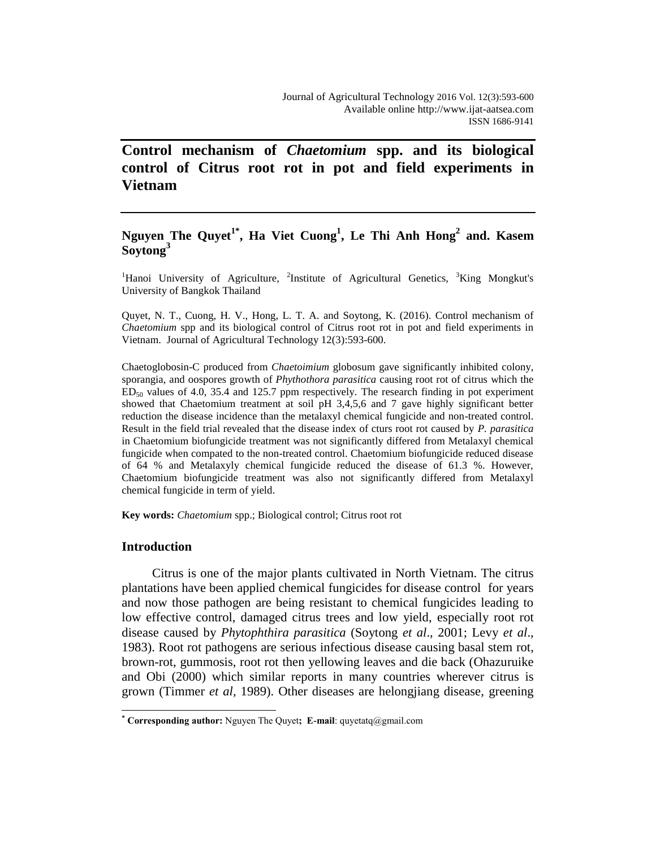# **Control mechanism of** *Chaetomium* **spp. and its biological control of Citrus root rot in pot and field experiments in Vietnam**

## **Nguyen The Quyet1\* , Ha Viet Cuong<sup>1</sup> , Le Thi Anh Hong<sup>2</sup> and. Kasem Soytong<sup>3</sup>**

<sup>1</sup>Hanoi University of Agriculture, <sup>2</sup>Institute of Agricultural Genetics,  ${}^{3}$ King Mongkut's University of Bangkok Thailand

Quyet, N. T., Cuong, H. V., Hong, L. T. A. and Soytong, K. (2016). Control mechanism of *Chaetomium* spp and its biological control of Citrus root rot in pot and field experiments in Vietnam. Journal of Agricultural Technology 12(3):593-600.

Chaetoglobosin-C produced from *Chaetoimium* globosum gave significantly inhibited colony, sporangia, and oospores growth of *Phythothora parasitica* causing root rot of citrus which the  $ED<sub>50</sub>$  values of 4.0, 35.4 and 125.7 ppm respectively. The research finding in pot experiment showed that Chaetomium treatment at soil pH 3,4,5,6 and 7 gave highly significant better reduction the disease incidence than the metalaxyl chemical fungicide and non-treated control. Result in the field trial revealed that the disease index of cturs root rot caused by *P. parasitica* in Chaetomium biofungicide treatment was not significantly differed from Metalaxyl chemical fungicide when compated to the non-treated control. Chaetomium biofungicide reduced disease of 64 % and Metalaxyly chemical fungicide reduced the disease of 61.3 %. However, Chaetomium biofungicide treatment was also not significantly differed from Metalaxyl chemical fungicide in term of yield.

**Key words:** *Chaetomium* spp.; Biological control; Citrus root rot

## **Introduction**

 $\overline{a}$ 

Citrus is one of the major plants cultivated in North Vietnam. The citrus plantations have been applied chemical fungicides for disease control for years and now those pathogen are being resistant to chemical fungicides leading to low effective control, damaged citrus trees and low yield, especially root rot disease caused by *Phytophthira parasitica* (Soytong *et al*., 2001; Levy *et al*., 1983). Root rot pathogens are serious infectious disease causing basal stem rot, brown-rot, gummosis, root rot then yellowing leaves and die back (Ohazuruike and Obi (2000) which similar reports in many countries wherever citrus is grown (Timmer *et al,* 1989). Other diseases are helongjiang disease, greening

**<sup>\*</sup> Corresponding author:** Nguyen The Quyet**; E-mail**: quyetatq@gmail.com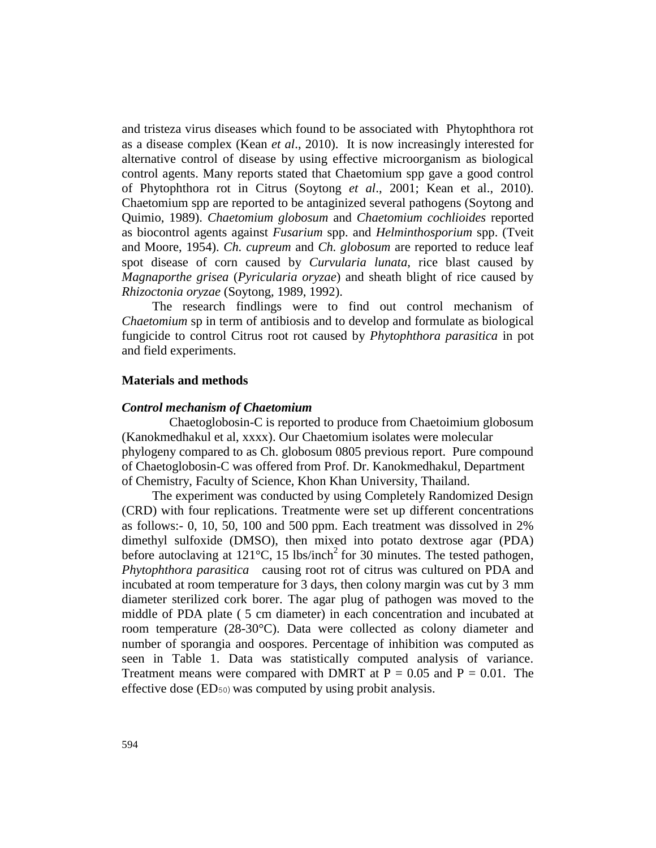and tristeza virus diseases which found to be associated with Phytophthora rot as a disease complex (Kean *et al*., 2010). It is now increasingly interested for alternative control of disease by using effective microorganism as biological control agents. Many reports stated that Chaetomium spp gave a good control of Phytophthora rot in Citrus (Soytong *et al*., 2001; Kean et al., 2010). Chaetomium spp are reported to be antaginized several pathogens (Soytong and Quimio, 1989). *Chaetomium globosum* and *Chaetomium cochlioides* reported as biocontrol agents against *Fusarium* spp. and *Helminthosporium* spp. (Tveit and Moore, 1954). *Ch. cupreum* and *Ch. globosum* are reported to reduce leaf spot disease of corn caused by *Curvularia lunata*, rice blast caused by *Magnaporthe grisea* (*Pyricularia oryzae*) and sheath blight of rice caused by *Rhizoctonia oryzae* (Soytong, 1989, 1992).

The research findlings were to find out control mechanism of *Chaetomium* sp in term of antibiosis and to develop and formulate as biological fungicide to control Citrus root rot caused by *Phytophthora parasitica* in pot and field experiments.

#### **Materials and methods**

#### *Control mechanism of Chaetomium*

Chaetoglobosin-C is reported to produce from Chaetoimium globosum (Kanokmedhakul et al, xxxx). Our Chaetomium isolates were molecular phylogeny compared to as Ch. globosum 0805 previous report. Pure compound of Chaetoglobosin-C was offered from Prof. Dr. Kanokmedhakul, Department of Chemistry, Faculty of Science, Khon Khan University, Thailand.

The experiment was conducted by using Completely Randomized Design (CRD) with four replications. Treatmente were set up different concentrations as follows:- 0, 10, 50, 100 and 500 ppm. Each treatment was dissolved in 2% dimethyl sulfoxide (DMSO), then mixed into potato dextrose agar (PDA) before autoclaving at  $121^{\circ}$ C, 15 lbs/inch<sup>2</sup> for 30 minutes. The tested pathogen, *Phytophthora parasitica* causing root rot of citrus was cultured on PDA and incubated at room temperature for 3 days, then colony margin was cut by 3 mm diameter sterilized cork borer. The agar plug of pathogen was moved to the middle of PDA plate ( 5 cm diameter) in each concentration and incubated at room temperature (28-30°C). Data were collected as colony diameter and number of sporangia and oospores. Percentage of inhibition was computed as seen in Table 1. Data was statistically computed analysis of variance. Treatment means were compared with DMRT at  $P = 0.05$  and  $P = 0.01$ . The effective dose (ED50) was computed by using probit analysis.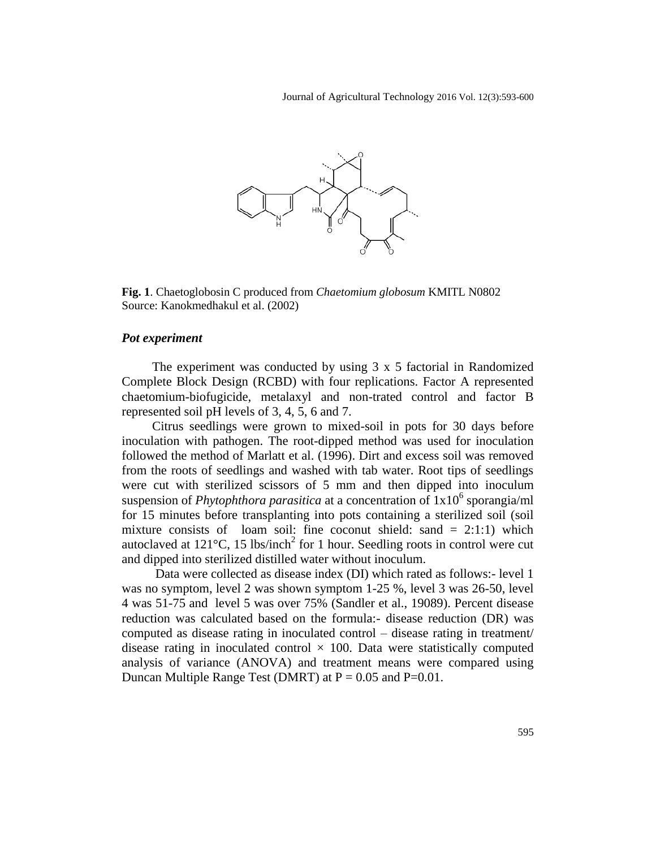

**Fig. 1**. Chaetoglobosin C produced from *Chaetomium globosum* KMITL N0802 Source: Kanokmedhakul et al. (2002)

## *Pot experiment*

The experiment was conducted by using 3 x 5 factorial in Randomized Complete Block Design (RCBD) with four replications. Factor A represented chaetomium-biofugicide, metalaxyl and non-trated control and factor B represented soil pH levels of 3, 4, 5, 6 and 7.

Citrus seedlings were grown to mixed-soil in pots for 30 days before inoculation with pathogen. The root-dipped method was used for inoculation followed the method of Marlatt et al. (1996). Dirt and excess soil was removed from the roots of seedlings and washed with tab water. Root tips of seedlings were cut with sterilized scissors of 5 mm and then dipped into inoculum suspension of *Phytophthora parasitica* at a concentration of  $1x10^6$  sporangia/ml for 15 minutes before transplanting into pots containing a sterilized soil (soil mixture consists of loam soil: fine coconut shield: sand  $= 2:1:1$ ) which autoclaved at  $121^{\circ}$ C, 15 lbs/inch<sup>2</sup> for 1 hour. Seedling roots in control were cut and dipped into sterilized distilled water without inoculum.

Data were collected as disease index (DI) which rated as follows:- level 1 was no symptom, level 2 was shown symptom 1-25 %, level 3 was 26-50, level 4 was 51-75 and level 5 was over 75% (Sandler et al., 19089). Percent disease reduction was calculated based on the formula:- disease reduction (DR) was computed as disease rating in inoculated control – disease rating in treatment/ disease rating in inoculated control  $\times$  100. Data were statistically computed analysis of variance (ANOVA) and treatment means were compared using Duncan Multiple Range Test (DMRT) at  $P = 0.05$  and  $P = 0.01$ .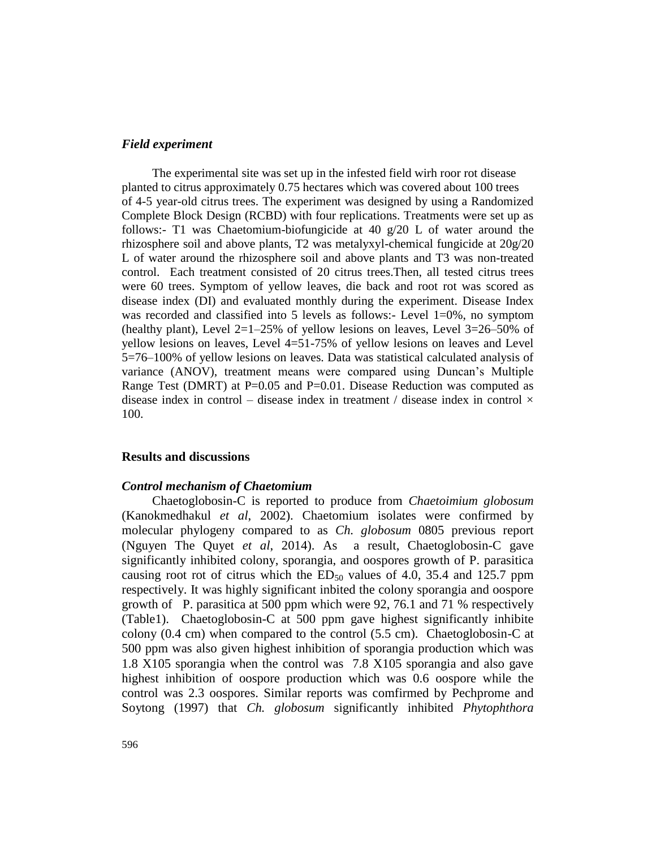#### *Field experiment*

The experimental site was set up in the infested field wirh roor rot disease planted to citrus approximately 0.75 hectares which was covered about 100 trees of 4-5 year-old citrus trees. The experiment was designed by using a Randomized Complete Block Design (RCBD) with four replications. Treatments were set up as follows:- T1 was Chaetomium-biofungicide at 40 g/20 L of water around the rhizosphere soil and above plants, T2 was metalyxyl-chemical fungicide at 20g/20 L of water around the rhizosphere soil and above plants and T3 was non-treated control. Each treatment consisted of 20 citrus trees.Then, all tested citrus trees were 60 trees. Symptom of yellow leaves, die back and root rot was scored as disease index (DI) and evaluated monthly during the experiment. Disease Index was recorded and classified into 5 levels as follows:- Level  $1=0\%$ , no symptom (healthy plant), Level  $2=1-25%$  of yellow lesions on leaves, Level  $3=26-50%$  of yellow lesions on leaves, Level 4=51-75% of yellow lesions on leaves and Level 5=76–100% of yellow lesions on leaves. Data was statistical calculated analysis of variance (ANOV), treatment means were compared using Duncan's Multiple Range Test (DMRT) at  $P=0.05$  and  $P=0.01$ . Disease Reduction was computed as disease index in control – disease index in treatment / disease index in control  $\times$ 100.

### **Results and discussions**

#### *Control mechanism of Chaetomium*

Chaetoglobosin-C is reported to produce from *Chaetoimium globosum* (Kanokmedhakul *et al*, 2002). Chaetomium isolates were confirmed by molecular phylogeny compared to as *Ch. globosum* 0805 previous report (Nguyen The Quyet *et al*, 2014). As a result, Chaetoglobosin-C gave significantly inhibited colony, sporangia, and oospores growth of P. parasitica causing root rot of citrus which the  $ED_{50}$  values of 4.0, 35.4 and 125.7 ppm respectively. It was highly significant inbited the colony sporangia and oospore growth of P. parasitica at 500 ppm which were 92, 76.1 and 71 % respectively (Table1). Chaetoglobosin-C at 500 ppm gave highest significantly inhibite colony (0.4 cm) when compared to the control (5.5 cm). Chaetoglobosin-C at 500 ppm was also given highest inhibition of sporangia production which was 1.8 X105 sporangia when the control was 7.8 X105 sporangia and also gave highest inhibition of oospore production which was 0.6 oospore while the control was 2.3 oospores. Similar reports was comfirmed by Pechprome and Soytong (1997) that *Ch. globosum* significantly inhibited *Phytophthora*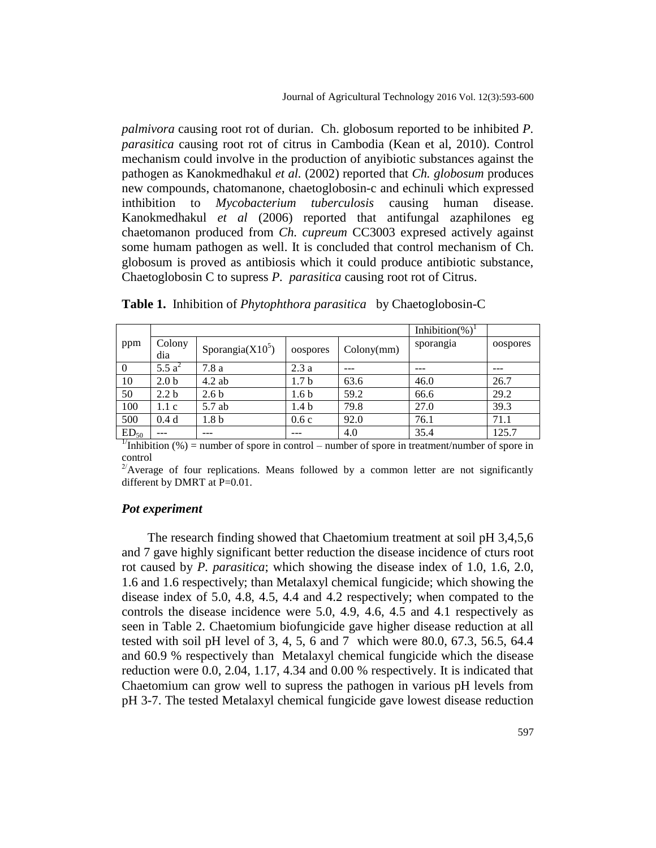*palmivora* causing root rot of durian. Ch. globosum reported to be inhibited *P. parasitica* causing root rot of citrus in Cambodia (Kean et al, 2010). Control mechanism could involve in the production of anyibiotic substances against the pathogen as Kanokmedhakul *et al.* (2002) reported that *Ch. globosum* produces new compounds, chatomanone, chaetoglobosin-c and echinuli which expressed inthibition to *Mycobacterium tuberculosis* causing human disease. Kanokmedhakul *et al* (2006) reported that antifungal azaphilones eg chaetomanon produced from *Ch. cupreum* CC3003 expresed actively against some humam pathogen as well. It is concluded that control mechanism of Ch. globosum is proved as antibiosis which it could produce antibiotic substance, Chaetoglobosin C to supress *P. parasitica* causing root rot of Citrus.

|                       |                  |                     | Inhibition(%)    |            |           |          |
|-----------------------|------------------|---------------------|------------------|------------|-----------|----------|
| ppm                   | Colony<br>dia    | Sporangia $(X10^5)$ | oospores         | Colony(mm) | sporangia | oospores |
| $\Omega$              | 5.5 $a^2$        | 7.8a                | 2.3a             |            |           |          |
| 10                    | 2.0 <sub>b</sub> | $4.2$ ab            | 1.7 <sub>b</sub> | 63.6       | 46.0      | 26.7     |
| 50                    | 2.2 <sub>b</sub> | 2.6 <sub>b</sub>    | 1.6 b            | 59.2       | 66.6      | 29.2     |
| 100                   | 1.1c             | 5.7 ab              | 1.4 <sub>b</sub> | 79.8       | 27.0      | 39.3     |
| 500                   | 0.4d             | 1.8 <sub>b</sub>    | 0.6c             | 92.0       | 76.1      | 71.1     |
| ED <sub>50</sub><br>᠇ | ---              | ---                 | ---              | 4.0        | 35.4      | 125.7    |

**Table 1.** Inhibition of *Phytophthora parasitica* by Chaetoglobosin-C

<sup>1</sup>Inhibition (%) = number of spore in control – number of spore in treatment/number of spore in control

 $2^{2}$ Average of four replications. Means followed by a common letter are not significantly different by DMRT at P=0.01.

#### *Pot experiment*

 The research finding showed that Chaetomium treatment at soil pH 3,4,5,6 and 7 gave highly significant better reduction the disease incidence of cturs root rot caused by *P. parasitica*; which showing the disease index of 1.0, 1.6, 2.0, 1.6 and 1.6 respectively; than Metalaxyl chemical fungicide; which showing the disease index of 5.0, 4.8, 4.5, 4.4 and 4.2 respectively; when compated to the controls the disease incidence were 5.0, 4.9, 4.6, 4.5 and 4.1 respectively as seen in Table 2. Chaetomium biofungicide gave higher disease reduction at all tested with soil pH level of 3, 4, 5, 6 and 7 which were 80.0, 67.3, 56.5, 64.4 and 60.9 % respectively than Metalaxyl chemical fungicide which the disease reduction were 0.0, 2.04, 1.17, 4.34 and 0.00 % respectively. It is indicated that Chaetomium can grow well to supress the pathogen in various pH levels from pH 3-7. The tested Metalaxyl chemical fungicide gave lowest disease reduction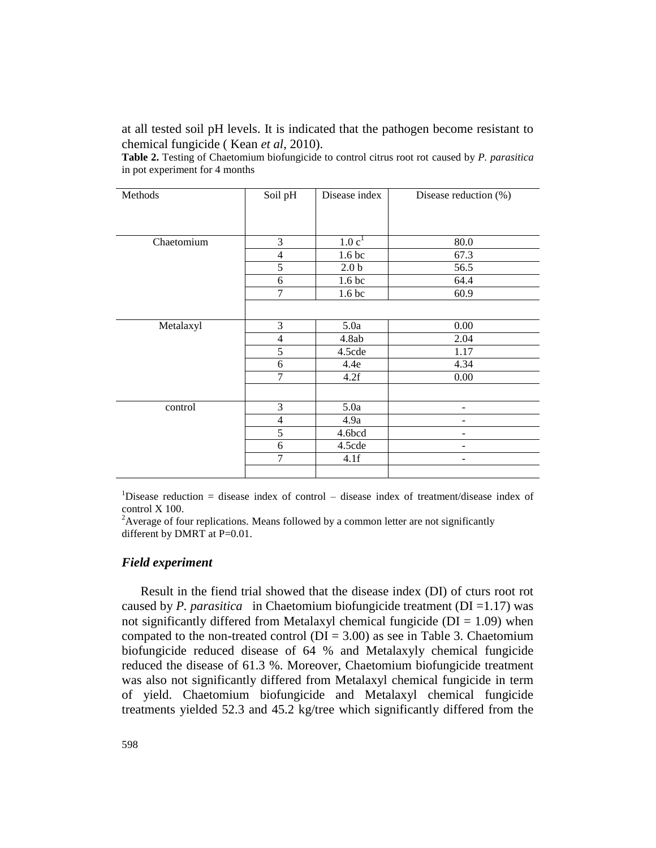at all tested soil pH levels. It is indicated that the pathogen become resistant to chemical fungicide ( Kean *et al*, 2010).

**Table 2.** Testing of Chaetomium biofungicide to control citrus root rot caused by *P. parasitica* in pot experiment for 4 months

| Methods    | Soil pH        | Disease index     | Disease reduction (%) |  |
|------------|----------------|-------------------|-----------------------|--|
|            |                |                   |                       |  |
| Chaetomium | 3              | 1.0c <sup>1</sup> | 80.0                  |  |
|            | 4              | 1.6 bc            | 67.3                  |  |
|            | 5              | 2.0 <sub>b</sub>  | 56.5                  |  |
|            | 6              | 1.6 <sub>bc</sub> | 64.4                  |  |
|            | 7              | 1.6 <sub>bc</sub> | 60.9                  |  |
|            |                |                   |                       |  |
| Metalaxyl  | 3              | 5.0a              | 0.00                  |  |
|            | $\overline{4}$ | 4.8ab             | 2.04                  |  |
|            | 5              | 4.5cde            | 1.17                  |  |
|            | 6              | 4.4e              | 4.34                  |  |
|            | $\overline{7}$ | 4.2f              | 0.00                  |  |
|            |                |                   |                       |  |
| control    | 3              | 5.0a              |                       |  |
|            | $\overline{4}$ | 4.9a              |                       |  |
|            | 5              | 4.6bcd            |                       |  |
|            | 6              | 4.5cde            |                       |  |
|            | 7              | 4.1f              | -                     |  |
|            |                |                   |                       |  |

<sup>1</sup>Disease reduction = disease index of control – disease index of treatment/disease index of control X 100.

<sup>2</sup> Average of four replications. Means followed by a common letter are not significantly different by DMRT at P=0.01.

## *Field experiment*

 Result in the fiend trial showed that the disease index (DI) of cturs root rot caused by *P. parasitica* in Chaetomium biofungicide treatment (DI =1.17) was not significantly differed from Metalaxyl chemical fungicide ( $DI = 1.09$ ) when compated to the non-treated control ( $DI = 3.00$ ) as see in Table 3. Chaetomium biofungicide reduced disease of 64 % and Metalaxyly chemical fungicide reduced the disease of 61.3 %. Moreover, Chaetomium biofungicide treatment was also not significantly differed from Metalaxyl chemical fungicide in term of yield. Chaetomium biofungicide and Metalaxyl chemical fungicide treatments yielded 52.3 and 45.2 kg/tree which significantly differed from the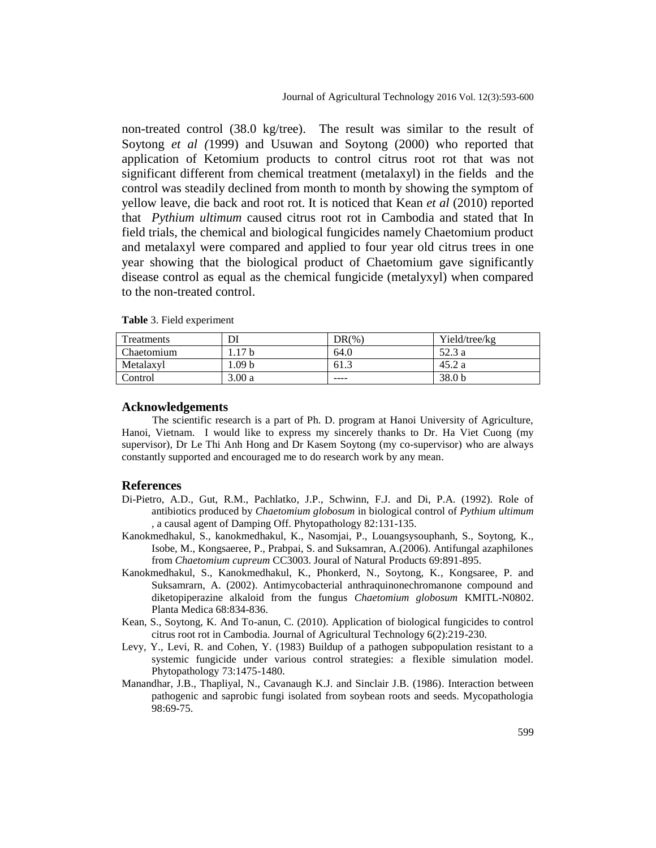non-treated control (38.0 kg/tree). The result was similar to the result of Soytong *et al (*1999) and Usuwan and Soytong (2000) who reported that application of Ketomium products to control citrus root rot that was not significant different from chemical treatment (metalaxyl) in the fields and the control was steadily declined from month to month by showing the symptom of yellow leave, die back and root rot. It is noticed that Kean *et al* (2010) reported that *Pythium ultimum* caused citrus root rot in Cambodia and stated that In field trials, the chemical and biological fungicides namely Chaetomium product and metalaxyl were compared and applied to four year old citrus trees in one year showing that the biological product of Chaetomium gave significantly disease control as equal as the chemical fungicide (metalyxyl) when compared to the non-treated control.

| Treatments | DI               | $DR(\%)$ | Yield/tree/kg     |
|------------|------------------|----------|-------------------|
| Chaetomium | 17 b             | 64.0     | 52.3 a            |
| Metalaxyl  | .09 <sub>b</sub> | د.61     | 45.2 a            |
| Control    | 3.00a            | ----     | 38.0 <sub>b</sub> |

**Table** 3. Field experiment

#### **Acknowledgements**

The scientific research is a part of Ph. D. program at Hanoi University of Agriculture, Hanoi, Vietnam. I would like to express my sincerely thanks to Dr. Ha Viet Cuong (my supervisor), Dr Le Thi Anh Hong and Dr Kasem Soytong (my co-supervisor) who are always constantly supported and encouraged me to do research work by any mean.

#### **References**

- Di-Pietro, A.D., Gut, R.M., Pachlatko, J.P., Schwinn, F.J. and Di, P.A. (1992). Role of antibiotics produced by *Chaetomium globosum* in biological control of *Pythium ultimum*  , a causal agent of Damping Off. Phytopathology 82:131-135.
- Kanokmedhakul, S., kanokmedhakul, K., Nasomjai, P., Louangsysouphanh, S., Soytong, K., Isobe, M., Kongsaeree, P., Prabpai, S. and Suksamran, A.(2006). Antifungal azaphilones from *Chaetomium cupreum* CC3003. Joural of Natural Products 69:891-895.
- Kanokmedhakul, S., Kanokmedhakul, K., Phonkerd, N., Soytong, K., Kongsaree, P. and Suksamrarn, A. (2002). Antimycobacterial anthraquinonechromanone compound and diketopiperazine alkaloid from the fungus *Chaetomium globosum* KMITL-N0802. Planta Medica 68:834-836.
- Kean, S., Soytong, K. And To-anun, C. (2010). Application of biological fungicides to control citrus root rot in Cambodia. Journal of Agricultural Technology 6(2):219-230.
- Levy, Y., Levi, R. and Cohen, Y. (1983) Buildup of a pathogen subpopulation resistant to a systemic fungicide under various control strategies: a flexible simulation model. Phytopathology 73:1475-1480.
- Manandhar, J.B., Thapliyal, N., Cavanaugh K.J. and Sinclair J.B. (1986). Interaction between pathogenic and saprobic fungi isolated from soybean roots and seeds. Mycopathologia 98:69-75.